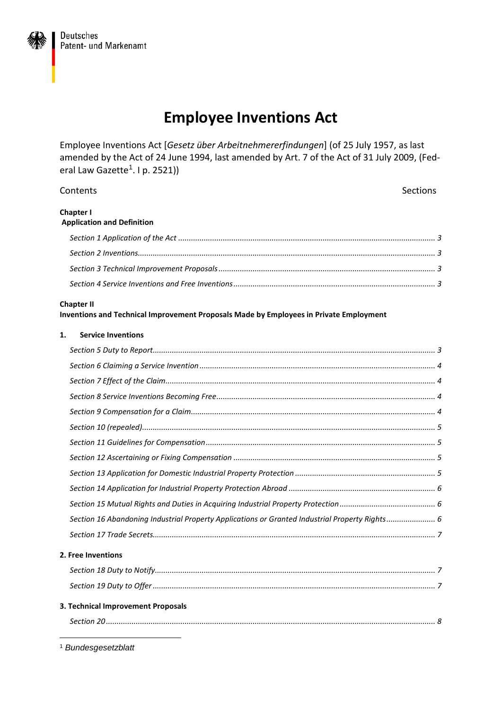# **Employee Inventions Act**

Employee Inventions Act [*Gesetz über Arbeitnehmererfindungen*] (of 25 July 1957, as last amended by the Act of 24 June 1994, last amended by Art. 7 of the Act of 31 July 2009, (Fed-eral Law Gazette<sup>[1](#page-0-0)</sup>. I p. 2521))

| Contents                                                                                                    | Sections |
|-------------------------------------------------------------------------------------------------------------|----------|
| Chapter I<br><b>Application and Definition</b>                                                              |          |
|                                                                                                             |          |
|                                                                                                             |          |
|                                                                                                             |          |
|                                                                                                             |          |
| <b>Chapter II</b><br>Inventions and Technical Improvement Proposals Made by Employees in Private Employment |          |
| <b>Service Inventions</b><br>1.                                                                             |          |
|                                                                                                             |          |
|                                                                                                             |          |
|                                                                                                             |          |
|                                                                                                             |          |
|                                                                                                             |          |
|                                                                                                             |          |
|                                                                                                             |          |
|                                                                                                             |          |
|                                                                                                             |          |
|                                                                                                             |          |
|                                                                                                             |          |
| Section 16 Abandoning Industrial Property Applications or Granted Industrial Property Rights 6              |          |
|                                                                                                             |          |
| 2. Free Inventions                                                                                          |          |
|                                                                                                             |          |
|                                                                                                             |          |
| 3. Technical Improvement Proposals                                                                          |          |
|                                                                                                             |          |
|                                                                                                             |          |

<span id="page-0-0"></span>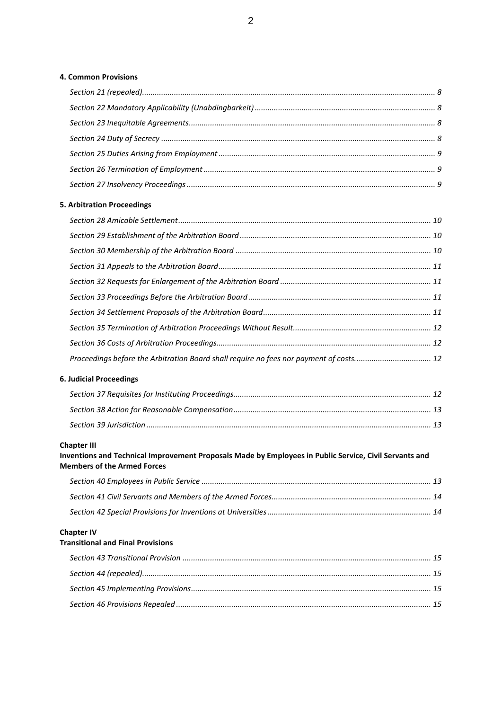#### **[4. Common Provisions](#page-7-2)**

#### **[5. Arbitration Proceedings](#page-9-0)**

| Proceedings before the Arbitration Board shall require no fees nor payment of costs 12 |  |
|----------------------------------------------------------------------------------------|--|

#### **[6. Judicial Proceedings](#page-11-3)**

#### **[Chapter III](#page-12-2)**

#### **[Inventions and Technical Improvement Proposals Made by Employees in Public Service, Civil Servants and](#page-12-2)  [Members of the Armed Forces](#page-12-2)**

#### **[Chapter IV](#page-14-0)**

#### **[Transitional and Final Provisions](#page-14-0)**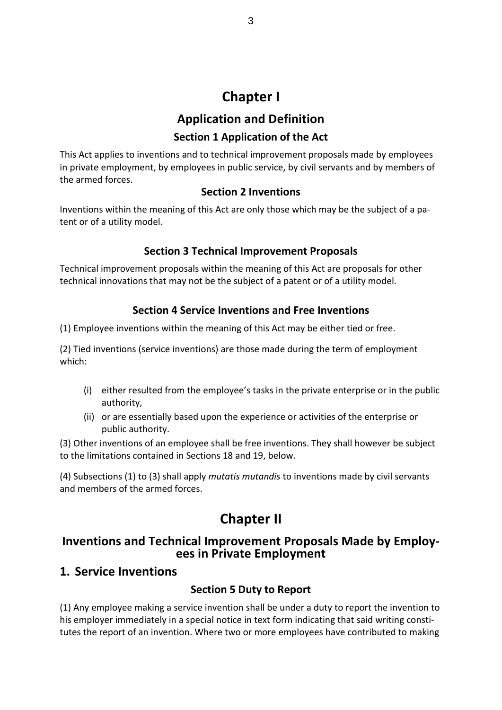# **Chapter I**

# **Application and Definition**

#### **Section 1 Application of the Act**

<span id="page-2-1"></span><span id="page-2-0"></span>This Act applies to inventions and to technical improvement proposals made by employees in private employment, by employees in public service, by civil servants and by members of the armed forces.

#### **Section 2 Inventions**

<span id="page-2-2"></span>Inventions within the meaning of this Act are only those which may be the subject of a patent or of a utility model.

#### **Section 3 Technical Improvement Proposals**

<span id="page-2-3"></span>Technical improvement proposals within the meaning of this Act are proposals for other technical innovations that may not be the subject of a patent or of a utility model.

#### **Section 4 Service Inventions and Free Inventions**

<span id="page-2-4"></span>(1) Employee inventions within the meaning of this Act may be either tied or free.

(2) Tied inventions (service inventions) are those made during the term of employment which:

- (i) either resulted from the employee's tasks in the private enterprise or in the public authority,
- (ii) or are essentially based upon the experience or activities of the enterprise or public authority.

(3) Other inventions of an employee shall be free inventions. They shall however be subject to the limitations contained in Sections 18 and 19, below.

(4) Subsections (1) to (3) shall apply *mutatis mutandis* to inventions made by civil servants and members of the armed forces.

# **Chapter II**

# <span id="page-2-5"></span>**Inventions and Technical Improvement Proposals Made by Employees in Private Employment**

# <span id="page-2-7"></span><span id="page-2-6"></span>**1. Service Inventions**

# **Section 5 Duty to Report**

(1) Any employee making a service invention shall be under a duty to report the invention to his employer immediately in a special notice in text form indicating that said writing constitutes the report of an invention. Where two or more employees have contributed to making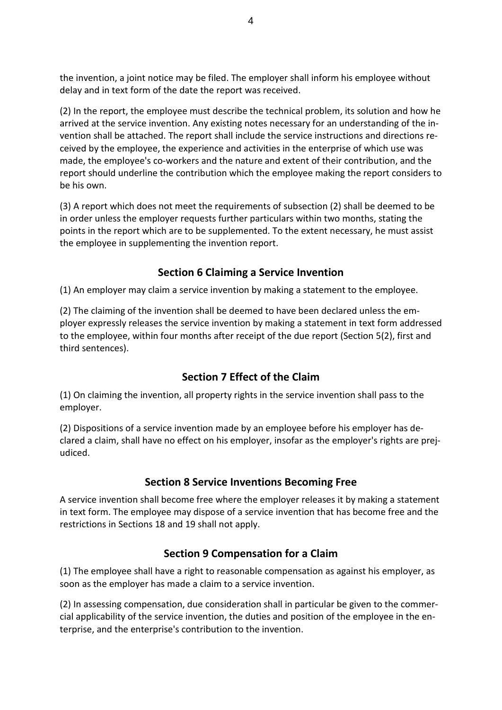the invention, a joint notice may be filed. The employer shall inform his employee without delay and in text form of the date the report was received.

(2) In the report, the employee must describe the technical problem, its solution and how he arrived at the service invention. Any existing notes necessary for an understanding of the invention shall be attached. The report shall include the service instructions and directions received by the employee, the experience and activities in the enterprise of which use was made, the employee's co-workers and the nature and extent of their contribution, and the report should underline the contribution which the employee making the report considers to be his own.

(3) A report which does not meet the requirements of subsection (2) shall be deemed to be in order unless the employer requests further particulars within two months, stating the points in the report which are to be supplemented. To the extent necessary, he must assist the employee in supplementing the invention report.

### **Section 6 Claiming a Service Invention**

<span id="page-3-0"></span>(1) An employer may claim a service invention by making a statement to the employee.

(2) The claiming of the invention shall be deemed to have been declared unless the employer expressly releases the service invention by making a statement in text form addressed to the employee, within four months after receipt of the due report (Section 5(2), first and third sentences).

#### **Section 7 Effect of the Claim**

<span id="page-3-1"></span>(1) On claiming the invention, all property rights in the service invention shall pass to the employer.

(2) Dispositions of a service invention made by an employee before his employer has declared a claim, shall have no effect on his employer, insofar as the employer's rights are prejudiced.

#### **Section 8 Service Inventions Becoming Free**

<span id="page-3-2"></span>A service invention shall become free where the employer releases it by making a statement in text form. The employee may dispose of a service invention that has become free and the restrictions in Sections 18 and 19 shall not apply.

#### **Section 9 Compensation for a Claim**

<span id="page-3-3"></span>(1) The employee shall have a right to reasonable compensation as against his employer, as soon as the employer has made a claim to a service invention.

(2) In assessing compensation, due consideration shall in particular be given to the commercial applicability of the service invention, the duties and position of the employee in the enterprise, and the enterprise's contribution to the invention.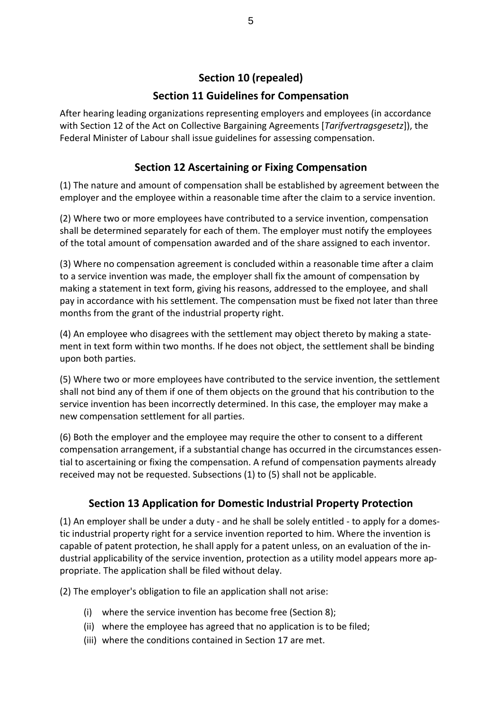# **Section 10 (repealed)**

### **Section 11 Guidelines for Compensation**

<span id="page-4-1"></span><span id="page-4-0"></span>After hearing leading organizations representing employers and employees (in accordance with Section 12 of the Act on Collective Bargaining Agreements [*Tarifvertragsgesetz*]), the Federal Minister of Labour shall issue guidelines for assessing compensation.

## **Section 12 Ascertaining or Fixing Compensation**

<span id="page-4-2"></span>(1) The nature and amount of compensation shall be established by agreement between the employer and the employee within a reasonable time after the claim to a service invention.

(2) Where two or more employees have contributed to a service invention, compensation shall be determined separately for each of them. The employer must notify the employees of the total amount of compensation awarded and of the share assigned to each inventor.

(3) Where no compensation agreement is concluded within a reasonable time after a claim to a service invention was made, the employer shall fix the amount of compensation by making a statement in text form, giving his reasons, addressed to the employee, and shall pay in accordance with his settlement. The compensation must be fixed not later than three months from the grant of the industrial property right.

(4) An employee who disagrees with the settlement may object thereto by making a statement in text form within two months. If he does not object, the settlement shall be binding upon both parties.

(5) Where two or more employees have contributed to the service invention, the settlement shall not bind any of them if one of them objects on the ground that his contribution to the service invention has been incorrectly determined. In this case, the employer may make a new compensation settlement for all parties.

(6) Both the employer and the employee may require the other to consent to a different compensation arrangement, if a substantial change has occurred in the circumstances essential to ascertaining or fixing the compensation. A refund of compensation payments already received may not be requested. Subsections (1) to (5) shall not be applicable.

# **Section 13 Application for Domestic Industrial Property Protection**

<span id="page-4-3"></span>(1) An employer shall be under a duty - and he shall be solely entitled - to apply for a domestic industrial property right for a service invention reported to him. Where the invention is capable of patent protection, he shall apply for a patent unless, on an evaluation of the industrial applicability of the service invention, protection as a utility model appears more appropriate. The application shall be filed without delay.

(2) The employer's obligation to file an application shall not arise:

- (i) where the service invention has become free (Section 8);
- (ii) where the employee has agreed that no application is to be filed;
- (iii) where the conditions contained in Section 17 are met.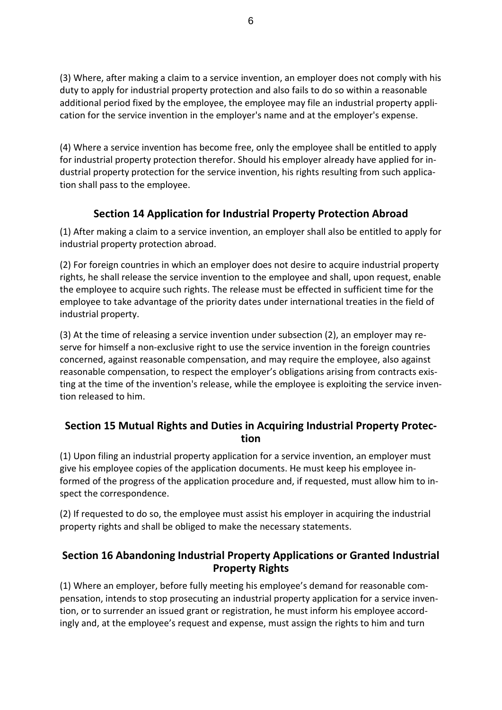(3) Where, after making a claim to a service invention, an employer does not comply with his duty to apply for industrial property protection and also fails to do so within a reasonable additional period fixed by the employee, the employee may file an industrial property application for the service invention in the employer's name and at the employer's expense.

(4) Where a service invention has become free, only the employee shall be entitled to apply for industrial property protection therefor. Should his employer already have applied for industrial property protection for the service invention, his rights resulting from such application shall pass to the employee.

### **Section 14 Application for Industrial Property Protection Abroad**

<span id="page-5-0"></span>(1) After making a claim to a service invention, an employer shall also be entitled to apply for industrial property protection abroad.

(2) For foreign countries in which an employer does not desire to acquire industrial property rights, he shall release the service invention to the employee and shall, upon request, enable the employee to acquire such rights. The release must be effected in sufficient time for the employee to take advantage of the priority dates under international treaties in the field of industrial property.

(3) At the time of releasing a service invention under subsection (2), an employer may reserve for himself a non-exclusive right to use the service invention in the foreign countries concerned, against reasonable compensation, and may require the employee, also against reasonable compensation, to respect the employer's obligations arising from contracts existing at the time of the invention's release, while the employee is exploiting the service invention released to him.

#### <span id="page-5-1"></span>**Section 15 Mutual Rights and Duties in Acquiring Industrial Property Protection**

(1) Upon filing an industrial property application for a service invention, an employer must give his employee copies of the application documents. He must keep his employee informed of the progress of the application procedure and, if requested, must allow him to inspect the correspondence.

(2) If requested to do so, the employee must assist his employer in acquiring the industrial property rights and shall be obliged to make the necessary statements.

#### <span id="page-5-2"></span>**Section 16 Abandoning Industrial Property Applications or Granted Industrial Property Rights**

(1) Where an employer, before fully meeting his employee's demand for reasonable compensation, intends to stop prosecuting an industrial property application for a service invention, or to surrender an issued grant or registration, he must inform his employee accordingly and, at the employee's request and expense, must assign the rights to him and turn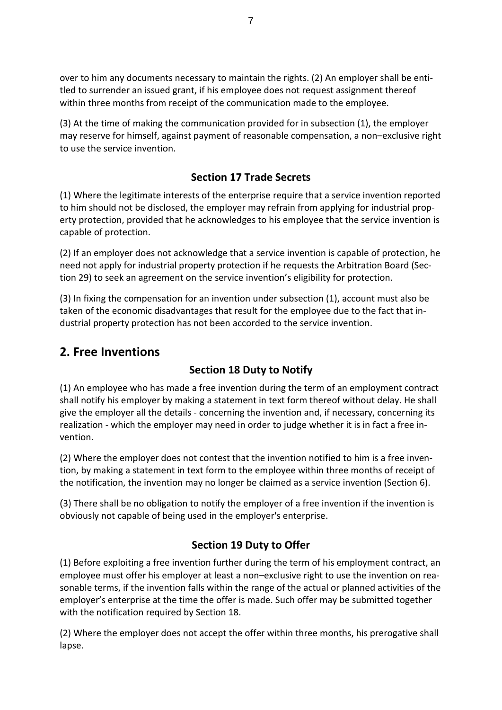over to him any documents necessary to maintain the rights. (2) An employer shall be entitled to surrender an issued grant, if his employee does not request assignment thereof within three months from receipt of the communication made to the employee.

(3) At the time of making the communication provided for in subsection (1), the employer may reserve for himself, against payment of reasonable compensation, a non–exclusive right to use the service invention.

### **Section 17 Trade Secrets**

<span id="page-6-0"></span>(1) Where the legitimate interests of the enterprise require that a service invention reported to him should not be disclosed, the employer may refrain from applying for industrial property protection, provided that he acknowledges to his employee that the service invention is capable of protection.

(2) If an employer does not acknowledge that a service invention is capable of protection, he need not apply for industrial property protection if he requests the Arbitration Board (Section 29) to seek an agreement on the service invention's eligibility for protection.

(3) In fixing the compensation for an invention under subsection (1), account must also be taken of the economic disadvantages that result for the employee due to the fact that industrial property protection has not been accorded to the service invention.

# <span id="page-6-1"></span>**2. Free Inventions**

# **Section 18 Duty to Notify**

<span id="page-6-2"></span>(1) An employee who has made a free invention during the term of an employment contract shall notify his employer by making a statement in text form thereof without delay. He shall give the employer all the details - concerning the invention and, if necessary, concerning its realization - which the employer may need in order to judge whether it is in fact a free invention.

(2) Where the employer does not contest that the invention notified to him is a free invention, by making a statement in text form to the employee within three months of receipt of the notification, the invention may no longer be claimed as a service invention (Section 6).

(3) There shall be no obligation to notify the employer of a free invention if the invention is obviously not capable of being used in the employer's enterprise.

# **Section 19 Duty to Offer**

<span id="page-6-3"></span>(1) Before exploiting a free invention further during the term of his employment contract, an employee must offer his employer at least a non–exclusive right to use the invention on reasonable terms, if the invention falls within the range of the actual or planned activities of the employer's enterprise at the time the offer is made. Such offer may be submitted together with the notification required by Section 18.

(2) Where the employer does not accept the offer within three months, his prerogative shall lapse.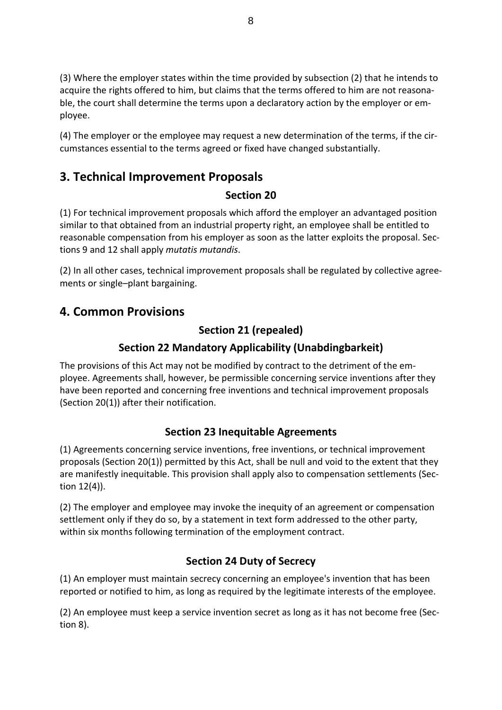(3) Where the employer states within the time provided by subsection (2) that he intends to acquire the rights offered to him, but claims that the terms offered to him are not reasonable, the court shall determine the terms upon a declaratory action by the employer or employee.

(4) The employer or the employee may request a new determination of the terms, if the circumstances essential to the terms agreed or fixed have changed substantially.

# <span id="page-7-0"></span>**3. Technical Improvement Proposals**

#### **Section 20**

<span id="page-7-1"></span>(1) For technical improvement proposals which afford the employer an advantaged position similar to that obtained from an industrial property right, an employee shall be entitled to reasonable compensation from his employer as soon as the latter exploits the proposal. Sections 9 and 12 shall apply *mutatis mutandis*.

(2) In all other cases, technical improvement proposals shall be regulated by collective agreements or single–plant bargaining.

# <span id="page-7-3"></span><span id="page-7-2"></span>**4. Common Provisions**

### **Section 21 (repealed)**

### **Section 22 Mandatory Applicability (Unabdingbarkeit)**

<span id="page-7-4"></span>The provisions of this Act may not be modified by contract to the detriment of the employee. Agreements shall, however, be permissible concerning service inventions after they have been reported and concerning free inventions and technical improvement proposals (Section 20(1)) after their notification.

#### **Section 23 Inequitable Agreements**

<span id="page-7-5"></span>(1) Agreements concerning service inventions, free inventions, or technical improvement proposals (Section 20(1)) permitted by this Act, shall be null and void to the extent that they are manifestly inequitable. This provision shall apply also to compensation settlements (Section 12(4)).

(2) The employer and employee may invoke the inequity of an agreement or compensation settlement only if they do so, by a statement in text form addressed to the other party, within six months following termination of the employment contract.

# **Section 24 Duty of Secrecy**

<span id="page-7-6"></span>(1) An employer must maintain secrecy concerning an employee's invention that has been reported or notified to him, as long as required by the legitimate interests of the employee.

(2) An employee must keep a service invention secret as long as it has not become free (Section 8).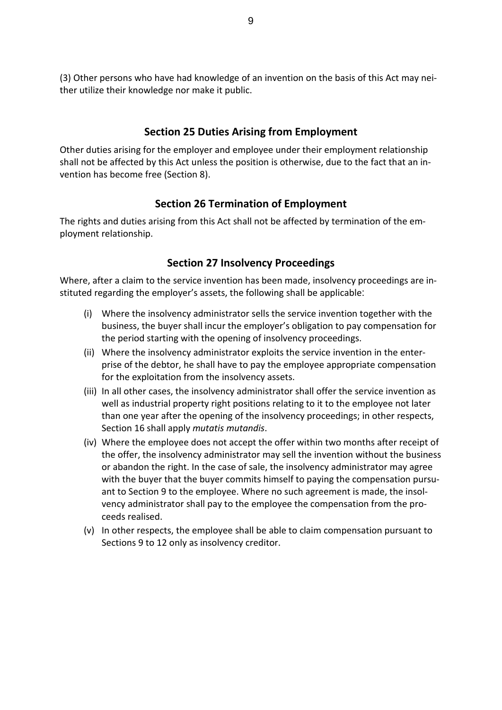(3) Other persons who have had knowledge of an invention on the basis of this Act may neither utilize their knowledge nor make it public.

#### **Section 25 Duties Arising from Employment**

<span id="page-8-0"></span>Other duties arising for the employer and employee under their employment relationship shall not be affected by this Act unless the position is otherwise, due to the fact that an invention has become free (Section 8).

#### **Section 26 Termination of Employment**

<span id="page-8-1"></span>The rights and duties arising from this Act shall not be affected by termination of the employment relationship.

#### **Section 27 Insolvency Proceedings**

<span id="page-8-2"></span>Where, after a claim to the service invention has been made, insolvency proceedings are instituted regarding the employer's assets, the following shall be applicable:

- (i) Where the insolvency administrator sells the service invention together with the business, the buyer shall incur the employer's obligation to pay compensation for the period starting with the opening of insolvency proceedings.
- (ii) Where the insolvency administrator exploits the service invention in the enterprise of the debtor, he shall have to pay the employee appropriate compensation for the exploitation from the insolvency assets.
- (iii) In all other cases, the insolvency administrator shall offer the service invention as well as industrial property right positions relating to it to the employee not later than one year after the opening of the insolvency proceedings; in other respects, Section 16 shall apply *mutatis mutandis*.
- (iv) Where the employee does not accept the offer within two months after receipt of the offer, the insolvency administrator may sell the invention without the business or abandon the right. In the case of sale, the insolvency administrator may agree with the buyer that the buyer commits himself to paying the compensation pursuant to Section 9 to the employee. Where no such agreement is made, the insolvency administrator shall pay to the employee the compensation from the proceeds realised.
- (v) In other respects, the employee shall be able to claim compensation pursuant to Sections 9 to 12 only as insolvency creditor.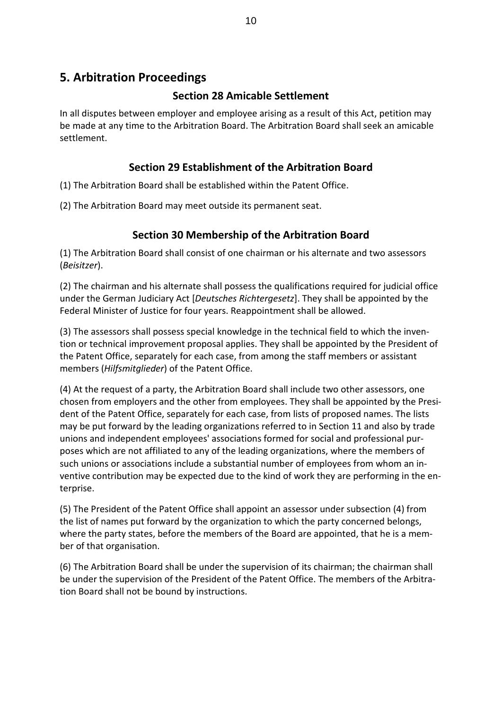# <span id="page-9-1"></span><span id="page-9-0"></span>**5. Arbitration Proceedings**

#### **Section 28 Amicable Settlement**

In all disputes between employer and employee arising as a result of this Act, petition may be made at any time to the Arbitration Board. The Arbitration Board shall seek an amicable settlement.

#### **Section 29 Establishment of the Arbitration Board**

<span id="page-9-2"></span>(1) The Arbitration Board shall be established within the Patent Office.

(2) The Arbitration Board may meet outside its permanent seat.

### **Section 30 Membership of the Arbitration Board**

<span id="page-9-3"></span>(1) The Arbitration Board shall consist of one chairman or his alternate and two assessors (*Beisitzer*).

(2) The chairman and his alternate shall possess the qualifications required for judicial office under the German Judiciary Act [*Deutsches Richtergesetz*]. They shall be appointed by the Federal Minister of Justice for four years. Reappointment shall be allowed.

(3) The assessors shall possess special knowledge in the technical field to which the invention or technical improvement proposal applies. They shall be appointed by the President of the Patent Office, separately for each case, from among the staff members or assistant members (*Hilfsmitglieder*) of the Patent Office.

(4) At the request of a party, the Arbitration Board shall include two other assessors, one chosen from employers and the other from employees. They shall be appointed by the President of the Patent Office, separately for each case, from lists of proposed names. The lists may be put forward by the leading organizations referred to in Section 11 and also by trade unions and independent employees' associations formed for social and professional purposes which are not affiliated to any of the leading organizations, where the members of such unions or associations include a substantial number of employees from whom an inventive contribution may be expected due to the kind of work they are performing in the enterprise.

(5) The President of the Patent Office shall appoint an assessor under subsection (4) from the list of names put forward by the organization to which the party concerned belongs, where the party states, before the members of the Board are appointed, that he is a member of that organisation.

(6) The Arbitration Board shall be under the supervision of its chairman; the chairman shall be under the supervision of the President of the Patent Office. The members of the Arbitration Board shall not be bound by instructions.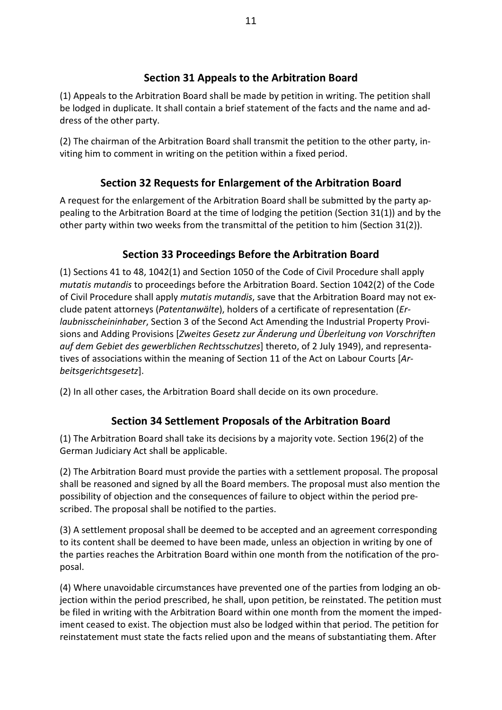#### **Section 31 Appeals to the Arbitration Board**

<span id="page-10-0"></span>(1) Appeals to the Arbitration Board shall be made by petition in writing. The petition shall be lodged in duplicate. It shall contain a brief statement of the facts and the name and address of the other party.

(2) The chairman of the Arbitration Board shall transmit the petition to the other party, inviting him to comment in writing on the petition within a fixed period.

### **Section 32 Requests for Enlargement of the Arbitration Board**

<span id="page-10-1"></span>A request for the enlargement of the Arbitration Board shall be submitted by the party appealing to the Arbitration Board at the time of lodging the petition (Section 31(1)) and by the other party within two weeks from the transmittal of the petition to him (Section 31(2)).

#### **Section 33 Proceedings Before the Arbitration Board**

<span id="page-10-2"></span>(1) Sections 41 to 48, 1042(1) and Section 1050 of the Code of Civil Procedure shall apply *mutatis mutandis* to proceedings before the Arbitration Board. Section 1042(2) of the Code of Civil Procedure shall apply *mutatis mutandis*, save that the Arbitration Board may not exclude patent attorneys (*Patentanwälte*), holders of a certificate of representation (*Erlaubnisscheininhaber*, Section 3 of the Second Act Amending the Industrial Property Provisions and Adding Provisions [*Zweites Gesetz zur Änderung und Überleitung von Vorschriften auf dem Gebiet des gewerblichen Rechtsschutzes*] thereto, of 2 July 1949), and representatives of associations within the meaning of Section 11 of the Act on Labour Courts [*Arbeitsgerichtsgesetz*].

(2) In all other cases, the Arbitration Board shall decide on its own procedure.

#### **Section 34 Settlement Proposals of the Arbitration Board**

<span id="page-10-3"></span>(1) The Arbitration Board shall take its decisions by a majority vote. Section 196(2) of the German Judiciary Act shall be applicable.

(2) The Arbitration Board must provide the parties with a settlement proposal. The proposal shall be reasoned and signed by all the Board members. The proposal must also mention the possibility of objection and the consequences of failure to object within the period prescribed. The proposal shall be notified to the parties.

(3) A settlement proposal shall be deemed to be accepted and an agreement corresponding to its content shall be deemed to have been made, unless an objection in writing by one of the parties reaches the Arbitration Board within one month from the notification of the proposal.

(4) Where unavoidable circumstances have prevented one of the parties from lodging an objection within the period prescribed, he shall, upon petition, be reinstated. The petition must be filed in writing with the Arbitration Board within one month from the moment the impediment ceased to exist. The objection must also be lodged within that period. The petition for reinstatement must state the facts relied upon and the means of substantiating them. After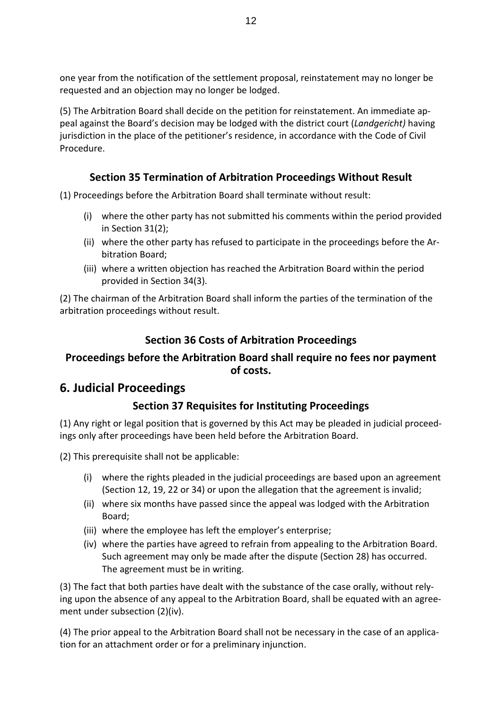one year from the notification of the settlement proposal, reinstatement may no longer be requested and an objection may no longer be lodged.

(5) The Arbitration Board shall decide on the petition for reinstatement. An immediate appeal against the Board's decision may be lodged with the district court (*Landgericht)* having jurisdiction in the place of the petitioner's residence, in accordance with the Code of Civil Procedure.

#### **Section 35 Termination of Arbitration Proceedings Without Result**

<span id="page-11-0"></span>(1) Proceedings before the Arbitration Board shall terminate without result:

- (i) where the other party has not submitted his comments within the period provided in Section 31(2);
- (ii) where the other party has refused to participate in the proceedings before the Arbitration Board;
- (iii) where a written objection has reached the Arbitration Board within the period provided in Section 34(3).

(2) The chairman of the Arbitration Board shall inform the parties of the termination of the arbitration proceedings without result.

#### **Section 36 Costs of Arbitration Proceedings**

#### <span id="page-11-2"></span><span id="page-11-1"></span>**Proceedings before the Arbitration Board shall require no fees nor payment of costs.**

# <span id="page-11-3"></span>**6. Judicial Proceedings**

#### **Section 37 Requisites for Instituting Proceedings**

<span id="page-11-4"></span>(1) Any right or legal position that is governed by this Act may be pleaded in judicial proceedings only after proceedings have been held before the Arbitration Board.

(2) This prerequisite shall not be applicable:

- (i) where the rights pleaded in the judicial proceedings are based upon an agreement (Section 12, 19, 22 or 34) or upon the allegation that the agreement is invalid;
- (ii) where six months have passed since the appeal was lodged with the Arbitration Board;
- (iii) where the employee has left the employer's enterprise;
- (iv) where the parties have agreed to refrain from appealing to the Arbitration Board. Such agreement may only be made after the dispute (Section 28) has occurred. The agreement must be in writing.

(3) The fact that both parties have dealt with the substance of the case orally, without relying upon the absence of any appeal to the Arbitration Board, shall be equated with an agreement under subsection (2)(iv).

(4) The prior appeal to the Arbitration Board shall not be necessary in the case of an application for an attachment order or for a preliminary injunction.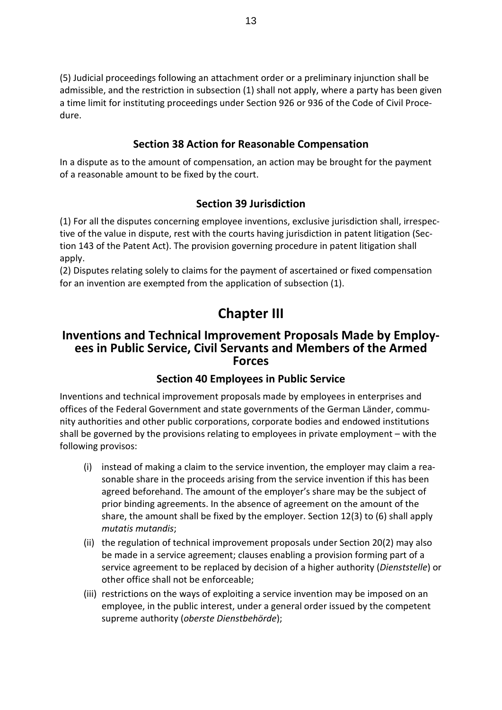(5) Judicial proceedings following an attachment order or a preliminary injunction shall be admissible, and the restriction in subsection (1) shall not apply, where a party has been given a time limit for instituting proceedings under Section 926 or 936 of the Code of Civil Procedure.

#### **Section 38 Action for Reasonable Compensation**

<span id="page-12-0"></span>In a dispute as to the amount of compensation, an action may be brought for the payment of a reasonable amount to be fixed by the court.

#### **Section 39 Jurisdiction**

<span id="page-12-1"></span>(1) For all the disputes concerning employee inventions, exclusive jurisdiction shall, irrespective of the value in dispute, rest with the courts having jurisdiction in patent litigation (Section 143 of the Patent Act). The provision governing procedure in patent litigation shall apply.

(2) Disputes relating solely to claims for the payment of ascertained or fixed compensation for an invention are exempted from the application of subsection (1).

# **Chapter III**

#### <span id="page-12-2"></span>**Inventions and Technical Improvement Proposals Made by Employees in Public Service, Civil Servants and Members of the Armed Forces**

#### **Section 40 Employees in Public Service**

<span id="page-12-3"></span>Inventions and technical improvement proposals made by employees in enterprises and offices of the Federal Government and state governments of the German Länder, community authorities and other public corporations, corporate bodies and endowed institutions shall be governed by the provisions relating to employees in private employment – with the following provisos:

- (i) instead of making a claim to the service invention, the employer may claim a reasonable share in the proceeds arising from the service invention if this has been agreed beforehand. The amount of the employer's share may be the subject of prior binding agreements. In the absence of agreement on the amount of the share, the amount shall be fixed by the employer. Section 12(3) to (6) shall apply *mutatis mutandis*;
- (ii) the regulation of technical improvement proposals under Section 20(2) may also be made in a service agreement; clauses enabling a provision forming part of a service agreement to be replaced by decision of a higher authority (*Dienststelle*) or other office shall not be enforceable;
- (iii) restrictions on the ways of exploiting a service invention may be imposed on an employee, in the public interest, under a general order issued by the competent supreme authority (*oberste Dienstbehörde*);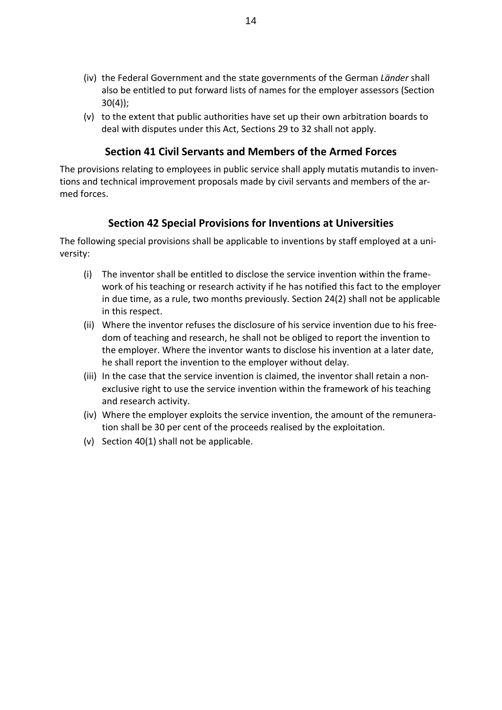- (iv) the Federal Government and the state governments of the German *Länder* shall also be entitled to put forward lists of names for the employer assessors (Section 30(4));
- (v) to the extent that public authorities have set up their own arbitration boards to deal with disputes under this Act, Sections 29 to 32 shall not apply.

#### **Section 41 Civil Servants and Members of the Armed Forces**

<span id="page-13-0"></span>The provisions relating to employees in public service shall apply mutatis mutandis to inventions and technical improvement proposals made by civil servants and members of the armed forces.

#### **Section 42 Special Provisions for Inventions at Universities**

<span id="page-13-1"></span>The following special provisions shall be applicable to inventions by staff employed at a university:

- (i) The inventor shall be entitled to disclose the service invention within the framework of his teaching or research activity if he has notified this fact to the employer in due time, as a rule, two months previously. Section 24(2) shall not be applicable in this respect.
- (ii) Where the inventor refuses the disclosure of his service invention due to his freedom of teaching and research, he shall not be obliged to report the invention to the employer. Where the inventor wants to disclose his invention at a later date, he shall report the invention to the employer without delay.
- (iii) In the case that the service invention is claimed, the inventor shall retain a nonexclusive right to use the service invention within the framework of his teaching and research activity.
- (iv) Where the employer exploits the service invention, the amount of the remuneration shall be 30 per cent of the proceeds realised by the exploitation.
- (v) Section 40(1) shall not be applicable.